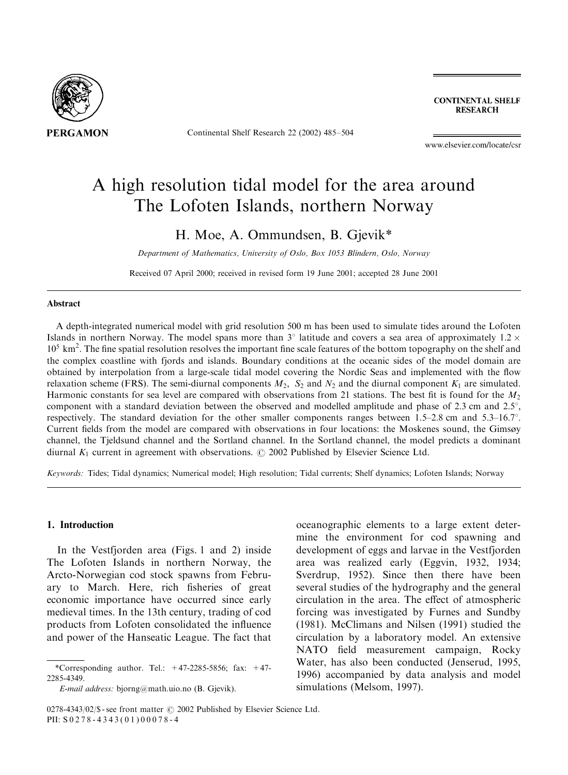

Continental Shelf Research 22 (2002) 485–504

**CONTINENTAL SHELF RESEARCH** 

www.elsevier.com/locate/csr

# A high resolution tidal model for the area around The Lofoten Islands, northern Norway

H. Moe, A. Ommundsen, B. Gjevik\*

Department of Mathematics, University of Oslo, Box 1053 Blindern, Oslo, Norway

Received 07 April 2000; received in revised form 19 June 2001; accepted 28 June 2001

#### Abstract

A depth-integrated numerical model with grid resolution 500 m has been used to simulate tides around the Lofoten Islands in northern Norway. The model spans more than  $3^\circ$  latitude and covers a sea area of approximately  $1.2 \times$ 10<sup>5</sup> km<sup>2</sup>. The fine spatial resolution resolves the important fine scale features of the bottom topography on the shelf and the complex coastline with fjords and islands. Boundary conditions at the oceanic sides of the model domain are obtained by interpolation from a large-scale tidal model covering the Nordic Seas and implemented with the flow relaxation scheme (FRS). The semi-diurnal components  $M_2$ ,  $S_2$  and  $N_2$  and the diurnal component  $K_1$  are simulated. Harmonic constants for sea level are compared with observations from 21 stations. The best fit is found for the  $M<sub>2</sub>$ component with a standard deviation between the observed and modelled amplitude and phase of 2.3 cm and  $2.5^{\circ}$ , respectively. The standard deviation for the other smaller components ranges between  $1.5-2.8$  cm and  $5.3-16.7$ <sup>o</sup>. Current fields from the model are compared with observations in four locations: the Moskenes sound, the Gimsøy channel, the Tjeldsund channel and the Sortland channel. In the Sortland channel, the model predicts a dominant diurnal  $K_1$  current in agreement with observations.  $\odot$  2002 Published by Elsevier Science Ltd.

Keywords: Tides; Tidal dynamics; Numerical model; High resolution; Tidal currents; Shelf dynamics; Lofoten Islands; Norway

## 1. Introduction

In the Vestfjorden area (Figs. 1 and 2) inside The Lofoten Islands in northern Norway, the Arcto-Norwegian cod stock spawns from February to March. Here, rich fisheries of great economic importance have occurred since early medieval times. In the 13th century, trading of cod products from Lofoten consolidated the influence and power of the Hanseatic League. The fact that

oceanographic elements to a large extent determine the environment for cod spawning and development of eggs and larvae in the Vestfjorden area was realized early (Eggvin,1932,1934; Sverdrup, 1952). Since then there have been several studies of the hydrography and the general circulation in the area. The effect of atmospheric forcing was investigated by Furnes and Sundby (1981). McClimans and Nilsen (1991) studied the circulation by a laboratory model. An extensive NATO field measurement campaign, Rocky Water, has also been conducted (Jenserud, 1995, 1996) accompanied by data analysis and model simulations (Melsom, 1997).

<sup>\*</sup>Corresponding author. Tel.:  $+47-2285-5856$ ; fax:  $+47-$ 2285-4349.

E-mail address: bjorng@math.uio.no (B. Gjevik).

<sup>0278-4343/02/\$ -</sup> see front matter  $\odot$  2002 Published by Elsevier Science Ltd. PII: S 0278-4343(01)00078-4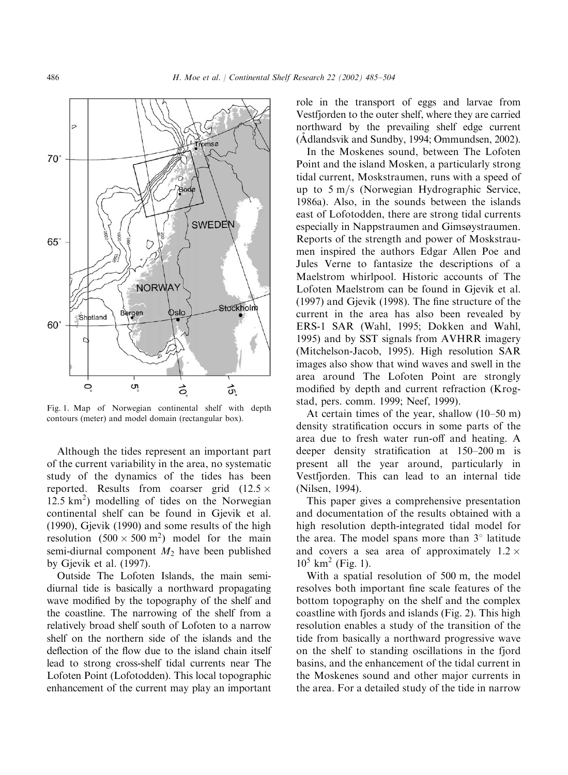

Fig. 1. Map of Norwegian continental shelf with depth contours (meter) and model domain (rectangular box).

Although the tides represent an important part of the current variability in the area,no systematic study of the dynamics of the tides has been reported. Results from coarser grid  $(12.5 \times$ 12:5 km<sup>2</sup> Þ modelling of tides on the Norwegian continental shelf can be found in Gjevik et al. (1990),Gjevik (1990) and some results of the high resolution  $(500 \times 500 \text{ m}^2)$  model for the main semi-diurnal component  $M_2$  have been published by Gjevik et al. (1997).

Outside The Lofoten Islands, the main semidiurnal tide is basically a northward propagating wave modified by the topography of the shelf and the coastline. The narrowing of the shelf from a relatively broad shelf south of Lofoten to a narrow shelf on the northern side of the islands and the deflection of the flow due to the island chain itself lead to strong cross-shelf tidal currents near The Lofoten Point (Lofotodden). This local topographic enhancement of the current may play an important role in the transport of eggs and larvae from Vestfjorden to the outer shelf, where they are carried northward by the prevailing shelf edge current (Adlandsvik and Sundby, 1994; Ommundsen, 2002).

In the Moskenes sound, between The Lofoten Point and the island Mosken, a particularly strong tidal current, Moskstraumen, runs with a speed of up to  $5 \text{ m/s}$  (Norwegian Hydrographic Service, 1986a). Also, in the sounds between the islands east of Lofotodden, there are strong tidal currents especially in Nappstraumen and Gimsøystraumen. Reports of the strength and power of Moskstraumen inspired the authors Edgar Allen Poe and Jules Verne to fantasize the descriptions of a Maelstrom whirlpool. Historic accounts of The Lofoten Maelstrom can be found in Gjevik et al. (1997) and Gjevik (1998). The fine structure of the current in the area has also been revealed by ERS-1 SAR (Wahl,1995; Dokken and Wahl, 1995) and by SST signals from AVHRR imagery (Mitchelson-Jacob,1995). High resolution SAR images also show that wind waves and swell in the area around The Lofoten Point are strongly modified by depth and current refraction (Krogstad, pers. comm. 1999; Neef, 1999).

At certain times of the year, shallow  $(10–50 \text{ m})$ density stratification occurs in some parts of the area due to fresh water run-off and heating. A deeper density stratification at 150–200 m is present all the year around, particularly in Vestfjorden. This can lead to an internal tide (Nilsen,1994).

This paper gives a comprehensive presentation and documentation of the results obtained with a high resolution depth-integrated tidal model for the area. The model spans more than  $3^\circ$  latitude and covers a sea area of approximately  $1.2 \times$  $10^5$  km<sup>2</sup> (Fig. 1).

With a spatial resolution of 500 m, the model resolves both important fine scale features of the bottom topography on the shelf and the complex coastline with fjords and islands (Fig. 2). This high resolution enables a study of the transition of the tide from basically a northward progressive wave on the shelf to standing oscillations in the fjord basins,and the enhancement of the tidal current in the Moskenes sound and other major currents in the area. For a detailed study of the tide in narrow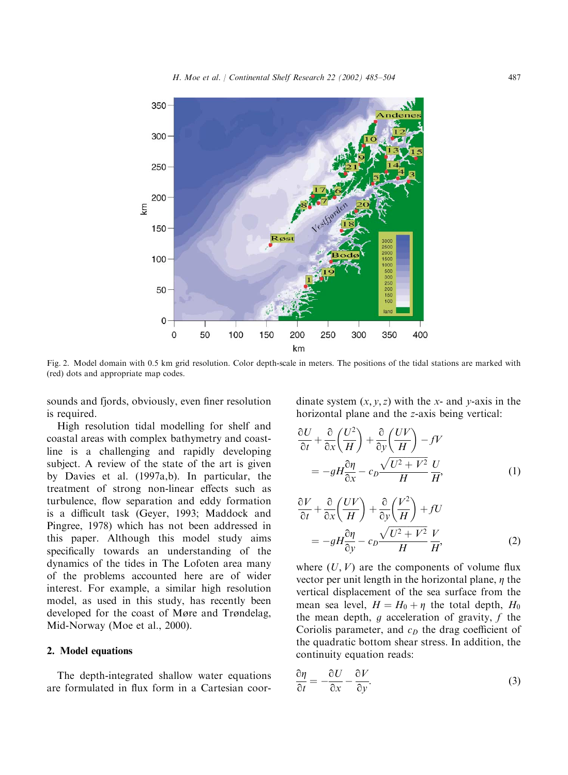

Fig. 2. Model domain with 0.5 km grid resolution. Color depth-scale in meters. The positions of the tidal stations are marked with (red) dots and appropriate map codes.

sounds and fjords, obviously, even finer resolution is required.

High resolution tidal modelling for shelf and coastal areas with complex bathymetry and coastline is a challenging and rapidly developing subject. A review of the state of the art is given by Davies et al. (1997a,b). In particular, the treatment of strong non-linear effects such as turbulence, flow separation and eddy formation is a difficult task (Geyer,1993; Maddock and Pingree,1978) which has not been addressed in this paper. Although this model study aims specifically towards an understanding of the dynamics of the tides in The Lofoten area many of the problems accounted here are of wider interest. For example, a similar high resolution model, as used in this study, has recently been developed for the coast of Møre and Trøndelag, Mid-Norway (Moe et al., 2000).

#### 2. Model equations

The depth-integrated shallow water equations are formulated in flux form in a Cartesian coordinate system  $(x, y, z)$  with the x- and y-axis in the horizontal plane and the z-axis being vertical:

$$
\frac{\partial U}{\partial t} + \frac{\partial}{\partial x} \left( \frac{U^2}{H} \right) + \frac{\partial}{\partial y} \left( \frac{UV}{H} \right) - fV
$$
  
= 
$$
-gH \frac{\partial \eta}{\partial x} - c_D \frac{\sqrt{U^2 + V^2}}{H} \frac{U}{H'},
$$
 (1)

$$
\frac{\partial V}{\partial t} + \frac{\partial}{\partial x} \left( \frac{UV}{H} \right) + \frac{\partial}{\partial y} \left( \frac{V^2}{H} \right) + fU
$$
  
= 
$$
-gH \frac{\partial \eta}{\partial y} - c_D \frac{\sqrt{U^2 + V^2}}{H} \frac{V}{H'},
$$
 (2)

where  $(U, V)$  are the components of volume flux vector per unit length in the horizontal plane,  $\eta$  the vertical displacement of the sea surface from the mean sea level,  $H = H_0 + \eta$  the total depth,  $H_0$ the mean depth,  $g$  acceleration of gravity,  $f$  the Coriolis parameter, and  $c<sub>D</sub>$  the drag coefficient of the quadratic bottom shear stress. In addition, the continuity equation reads:

$$
\frac{\partial \eta}{\partial t} = -\frac{\partial U}{\partial x} - \frac{\partial V}{\partial y}.\tag{3}
$$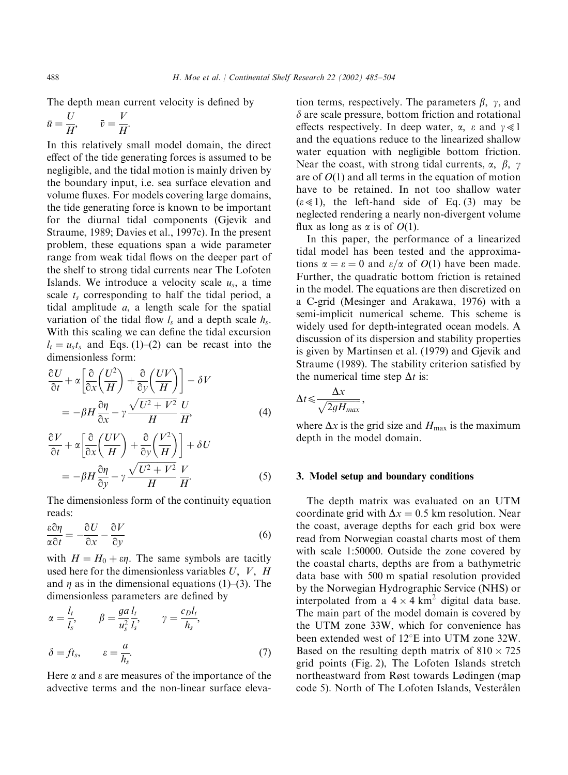The depth mean current velocity is defined by

$$
\bar{u} = \frac{U}{H}, \qquad \bar{v} = \frac{V}{H}.
$$

In this relatively small model domain, the direct effect of the tide generating forces is assumed to be negligible, and the tidal motion is mainly driven by the boundary input, i.e. sea surface elevation and volume fluxes. For models covering large domains, the tide generating force is known to be important for the diurnal tidal components (Gjevik and Straume,1989; Davies et al.,1997c). In the present problem, these equations span a wide parameter range from weak tidal flows on the deeper part of the shelf to strong tidal currents near The Lofoten Islands. We introduce a velocity scale  $u_s$ , a time scale  $t_s$  corresponding to half the tidal period, a tidal amplitude  $a$ , a length scale for the spatial variation of the tidal flow  $l_s$  and a depth scale  $h_s$ . With this scaling we can define the tidal excursion  $l_t = u_s t_s$  and Eqs. (1)–(2) can be recast into the dimensionless form:

$$
\frac{\partial U}{\partial t} + \alpha \left[ \frac{\partial}{\partial x} \left( \frac{U^2}{H} \right) + \frac{\partial}{\partial y} \left( \frac{UV}{H} \right) \right] - \delta V
$$
  
= 
$$
-\beta H \frac{\partial \eta}{\partial x} - \gamma \frac{\sqrt{U^2 + V^2}}{H} \frac{U}{H'},
$$
 (4)

$$
\frac{\partial V}{\partial t} + \alpha \left[ \frac{\partial}{\partial x} \left( \frac{UV}{H} \right) + \frac{\partial}{\partial y} \left( \frac{V^2}{H} \right) \right] + \delta U
$$
  
= 
$$
-\beta H \frac{\partial \eta}{\partial y} - \gamma \frac{\sqrt{U^2 + V^2}}{H} \frac{V}{H}.
$$
 (5)

The dimensionless form of the continuity equation reads:

$$
\frac{\varepsilon \partial \eta}{\alpha \partial t} = -\frac{\partial U}{\partial x} - \frac{\partial V}{\partial y} \tag{6}
$$

with  $H = H_0 + \varepsilon \eta$ . The same symbols are tacitly used here for the dimensionless variables  $U, V, H$ and  $\eta$  as in the dimensional equations (1)–(3). The dimensionless parameters are defined by

$$
\alpha = \frac{l_t}{l_s}, \qquad \beta = \frac{ga}{u_s^2} \frac{l_t}{l_s}, \qquad \gamma = \frac{c_D l_t}{h_s},
$$
  

$$
\delta = ft_s, \qquad \varepsilon = \frac{a}{h_s}.
$$
 (7)

Here  $\alpha$  and  $\epsilon$  are measures of the importance of the advective terms and the non-linear surface elevation terms, respectively. The parameters  $\beta$ ,  $\gamma$ , and  $\delta$  are scale pressure, bottom friction and rotational effects respectively. In deep water,  $\alpha$ ,  $\varepsilon$  and  $\gamma \ll 1$ and the equations reduce to the linearized shallow water equation with negligible bottom friction. Near the coast, with strong tidal currents,  $\alpha$ ,  $\beta$ ,  $\gamma$ are of  $O(1)$  and all terms in the equation of motion have to be retained. In not too shallow water  $(\varepsilon \ll 1)$ , the left-hand side of Eq. (3) may be neglected rendering a nearly non-divergent volume flux as long as  $\alpha$  is of  $O(1)$ .

In this paper, the performance of a linearized tidal model has been tested and the approximations  $\alpha = \varepsilon = 0$  and  $\varepsilon/\alpha$  of  $O(1)$  have been made. Further, the quadratic bottom friction is retained in the model. The equations are then discretized on a C-grid (Mesinger and Arakawa,1976) with a semi-implicit numerical scheme. This scheme is widely used for depth-integrated ocean models. A discussion of its dispersion and stability properties is given by Martinsen et al. (1979) and Gjevik and Straume (1989). The stability criterion satisfied by the numerical time step  $\Delta t$  is:

$$
\Delta t \leqslant \frac{\Delta x}{\sqrt{2gH_{max}}},
$$

where  $\Delta x$  is the grid size and  $H_{\text{max}}$  is the maximum depth in the model domain.

## 3. Model setup and boundary conditions

The depth matrix was evaluated on an UTM coordinate grid with  $\Delta x = 0.5$  km resolution. Near the coast, average depths for each grid box were read from Norwegian coastal charts most of them with scale 1:50000: Outside the zone covered by the coastal charts, depths are from a bathymetric data base with 500 m spatial resolution provided by the Norwegian Hydrographic Service (NHS) or interpolated from a  $4 \times 4 \text{ km}^2$  digital data base. The main part of the model domain is covered by the UTM zone 33W, which for convenience has been extended west of  $12^{\circ}E$  into UTM zone 32W. Based on the resulting depth matrix of  $810 \times 725$ grid points (Fig. 2),The Lofoten Islands stretch northeastward from Røst towards Lødingen (map code 5). North of The Lofoten Islands, Vesterålen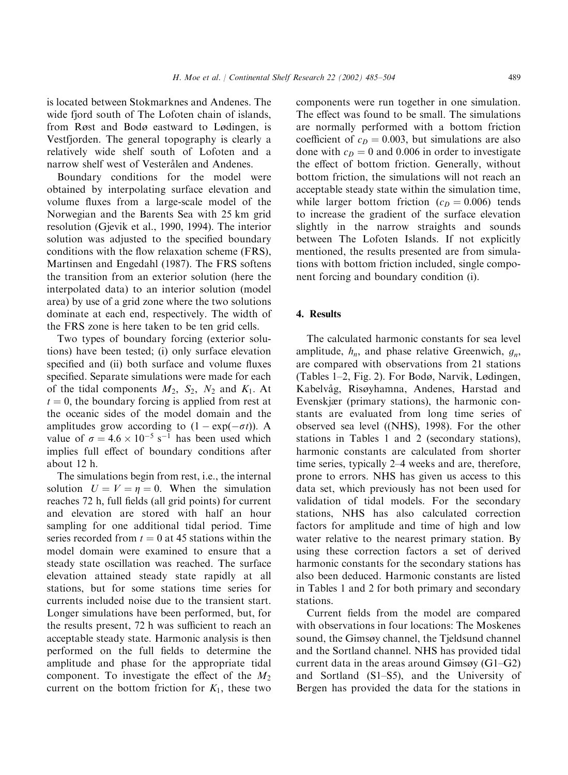is located between Stokmarknes and Andenes. The wide fjord south of The Lofoten chain of islands, from Røst and Bodø eastward to Lødingen, is Vestfjorden. The general topography is clearly a relatively wide shelf south of Lofoten and a narrow shelf west of Vesterålen and Andenes.

Boundary conditions for the model were obtained by interpolating surface elevation and volume fluxes from a large-scale model of the Norwegian and the Barents Sea with 25 km grid resolution (Gjevik et al.,1990,1994). The interior solution was adjusted to the specified boundary conditions with the flow relaxation scheme (FRS), Martinsen and Engedahl (1987). The FRS softens the transition from an exterior solution (here the interpolated data) to an interior solution (model area) by use of a grid zone where the two solutions dominate at each end, respectively. The width of the FRS zone is here taken to be ten grid cells.

Two types of boundary forcing (exterior solutions) have been tested; (i) only surface elevation specified and (ii) both surface and volume fluxes specified. Separate simulations were made for each of the tidal components  $M_2$ ,  $S_2$ ,  $N_2$  and  $K_1$ . At  $t = 0$ , the boundary forcing is applied from rest at the oceanic sides of the model domain and the amplitudes grow according to  $(1 - \exp(-\sigma t))$ . A value of  $\sigma = 4.6 \times 10^{-5} \text{ s}^{-1}$  has been used which implies full effect of boundary conditions after about 12 h:

The simulations begin from rest, i.e., the internal solution  $U = V = \eta = 0$ . When the simulation reaches 72 h, full fields (all grid points) for current and elevation are stored with half an hour sampling for one additional tidal period. Time series recorded from  $t = 0$  at 45 stations within the model domain were examined to ensure that a steady state oscillation was reached. The surface elevation attained steady state rapidly at all stations, but for some stations time series for currents included noise due to the transient start. Longer simulations have been performed, but, for the results present,72 h was sufficient to reach an acceptable steady state. Harmonic analysis is then performed on the full fields to determine the amplitude and phase for the appropriate tidal component. To investigate the effect of the  $M_2$ current on the bottom friction for  $K_1$ , these two

components were run together in one simulation. The effect was found to be small. The simulations are normally performed with a bottom friction coefficient of  $c_D = 0.003$ , but simulations are also done with  $c_D = 0$  and 0.006 in order to investigate the effect of bottom friction. Generally, without bottom friction, the simulations will not reach an acceptable steady state within the simulation time, while larger bottom friction  $(c_D = 0.006)$  tends to increase the gradient of the surface elevation slightly in the narrow straights and sounds between The Lofoten Islands. If not explicitly mentioned, the results presented are from simulations with bottom friction included, single component forcing and boundary condition (i).

# 4. Results

The calculated harmonic constants for sea level amplitude,  $h_n$ , and phase relative Greenwich,  $g_n$ , are compared with observations from 21 stations (Tables 1–2, Fig. 2). For Bodø, Narvik, Lødingen, Kabelvåg, Risøyhamna, Andenes, Harstad and Evenskjær (primary stations), the harmonic constants are evaluated from long time series of observed sea level ((NHS),1998). For the other stations in Tables 1 and 2 (secondary stations), harmonic constants are calculated from shorter time series, typically 2–4 weeks and are, therefore, prone to errors. NHS has given us access to this data set, which previously has not been used for validation of tidal models. For the secondary stations, NHS has also calculated correction factors for amplitude and time of high and low water relative to the nearest primary station. By using these correction factors a set of derived harmonic constants for the secondary stations has also been deduced. Harmonic constants are listed in Tables 1 and 2 for both primary and secondary stations.

Current fields from the model are compared with observations in four locations: The Moskenes sound, the Gimsøy channel, the Tjeldsund channel and the Sortland channel. NHS has provided tidal current data in the areas around Gimsøy  $(G1-G2)$ and Sortland  $(S1–S5)$ , and the University of Bergen has provided the data for the stations in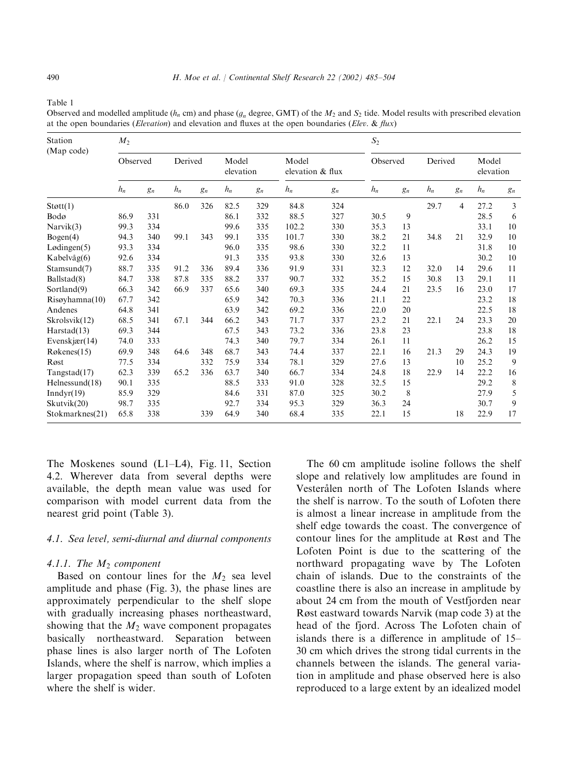Table 1

Observed and modelled amplitude ( $h_n$  cm) and phase ( $g_n$  degree, GMT) of the  $M_2$  and  $S_2$  tide. Model results with prescribed elevation at the open boundaries (*Elevation*) and elevation and fluxes at the open boundaries (*Elev. & flux*)

| Station<br>(Map code) | $M_2$    |       |         |       |                    |       |                           |       | S <sub>2</sub> |       |         |       |                    |             |
|-----------------------|----------|-------|---------|-------|--------------------|-------|---------------------------|-------|----------------|-------|---------|-------|--------------------|-------------|
|                       | Observed |       | Derived |       | Model<br>elevation |       | Model<br>elevation & flux |       | Observed       |       | Derived |       | Model<br>elevation |             |
|                       | $h_n$    | $g_n$ | $h_n$   | $g_n$ | $h_n$              | $g_n$ | $h_n$                     | $g_n$ | $h_n$          | $g_n$ | $h_n$   | $g_n$ | $h_n$              | $g_n$       |
| Støtt(1)              |          |       | 86.0    | 326   | 82.5               | 329   | 84.8                      | 324   |                |       | 29.7    | 4     | 27.2               | 3           |
| Bodø                  | 86.9     | 331   |         |       | 86.1               | 332   | 88.5                      | 327   | 30.5           | 9     |         |       | 28.5               | 6           |
| Narvik(3)             | 99.3     | 334   |         |       | 99.6               | 335   | 102.2                     | 330   | 35.3           | 13    |         |       | 33.1               | 10          |
| Bogen(4)              | 94.3     | 340   | 99.1    | 343   | 99.1               | 335   | 101.7                     | 330   | 38.2           | 21    | 34.8    | 21    | 32.9               | 10          |
| Lødingen(5)           | 93.3     | 334   |         |       | 96.0               | 335   | 98.6                      | 330   | 32.2           | 11    |         |       | 31.8               | 10          |
| Kabelvåg(6)           | 92.6     | 334   |         |       | 91.3               | 335   | 93.8                      | 330   | 32.6           | 13    |         |       | 30.2               | 10          |
| Stamsund(7)           | 88.7     | 335   | 91.2    | 336   | 89.4               | 336   | 91.9                      | 331   | 32.3           | 12    | 32.0    | 14    | 29.6               | 11          |
| Ballstad(8)           | 84.7     | 338   | 87.8    | 335   | 88.2               | 337   | 90.7                      | 332   | 35.2           | 15    | 30.8    | 13    | 29.1               | 11          |
| Sortland(9)           | 66.3     | 342   | 66.9    | 337   | 65.6               | 340   | 69.3                      | 335   | 24.4           | 21    | 23.5    | 16    | 23.0               | 17          |
| Risoyhamna(10)        | 67.7     | 342   |         |       | 65.9               | 342   | 70.3                      | 336   | 21.1           | 22    |         |       | 23.2               | 18          |
| Andenes               | 64.8     | 341   |         |       | 63.9               | 342   | 69.2                      | 336   | 22.0           | 20    |         |       | 22.5               | 18          |
| Skrolsvik(12)         | 68.5     | 341   | 67.1    | 344   | 66.2               | 343   | 71.7                      | 337   | 23.2           | 21    | 22.1    | 24    | 23.3               | 20          |
| Harstad(13)           | 69.3     | 344   |         |       | 67.5               | 343   | 73.2                      | 336   | 23.8           | 23    |         |       | 23.8               | 18          |
| Evenskjær $(14)$      | 74.0     | 333   |         |       | 74.3               | 340   | 79.7                      | 334   | 26.1           | 11    |         |       | 26.2               | 15          |
| Røkenes(15)           | 69.9     | 348   | 64.6    | 348   | 68.7               | 343   | 74.4                      | 337   | 22.1           | 16    | 21.3    | 29    | 24.3               | 19          |
| Røst                  | 77.5     | 334   |         | 332   | 75.9               | 334   | 78.1                      | 329   | 27.6           | 13    |         | 10    | 25.2               | 9           |
| Tangstad(17)          | 62.3     | 339   | 65.2    | 336   | 63.7               | 340   | 66.7                      | 334   | 24.8           | 18    | 22.9    | 14    | 22.2               | 16          |
| Helnessund(18)        | 90.1     | 335   |         |       | 88.5               | 333   | 91.0                      | 328   | 32.5           | 15    |         |       | 29.2               | $\,$ 8 $\,$ |
| Inndyr(19)            | 85.9     | 329   |         |       | 84.6               | 331   | 87.0                      | 325   | 30.2           | 8     |         |       | 27.9               | 5           |
| Skutvik(20)           | 98.7     | 335   |         |       | 92.7               | 334   | 95.3                      | 329   | 36.3           | 24    |         |       | 30.7               | 9           |
| Stokmarknes(21)       | 65.8     | 338   |         | 339   | 64.9               | 340   | 68.4                      | 335   | 22.1           | 15    |         | 18    | 22.9               | 17          |

The Moskenes sound  $(L1-L4)$ , Fig. 11, Section 4.2. Wherever data from several depths were available, the depth mean value was used for comparison with model current data from the nearest grid point (Table 3).

# 4.1. Sea level, semi-diurnal and diurnal components

## 4.1.1. The  $M_2$  component

Based on contour lines for the  $M_2$  sea level amplitude and phase  $(Fig. 3)$ , the phase lines are approximately perpendicular to the shelf slope with gradually increasing phases northeastward, showing that the  $M_2$  wave component propagates basically northeastward. Separation between phase lines is also larger north of The Lofoten Islands, where the shelf is narrow, which implies a larger propagation speed than south of Lofoten where the shelf is wider.

The 60 cm amplitude isoline follows the shelf slope and relatively low amplitudes are found in Vesterålen north of The Lofoten Islands where the shelf is narrow. To the south of Lofoten there is almost a linear increase in amplitude from the shelf edge towards the coast. The convergence of contour lines for the amplitude at Røst and The Lofoten Point is due to the scattering of the northward propagating wave by The Lofoten chain of islands. Due to the constraints of the coastline there is also an increase in amplitude by about 24 cm from the mouth of Vestfjorden near Røst eastward towards Narvik (map code 3) at the head of the fjord. Across The Lofoten chain of islands there is a difference in amplitude of 15– 30 cm which drives the strong tidal currents in the channels between the islands. The general variation in amplitude and phase observed here is also reproduced to a large extent by an idealized model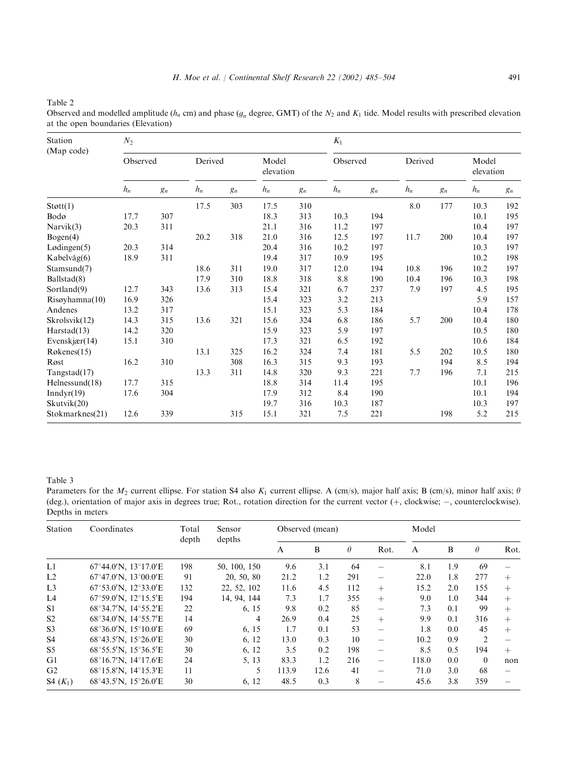Table 2

Observed and modelled amplitude ( $h_n$  cm) and phase ( $g_n$  degree, GMT) of the  $N_2$  and  $K_1$  tide. Model results with prescribed elevation at the open boundaries (Elevation)

| Station<br>(Map code) | $N_2$    |       |         |       |                    |       |          | $K_1$ |         |       |                    |       |  |
|-----------------------|----------|-------|---------|-------|--------------------|-------|----------|-------|---------|-------|--------------------|-------|--|
|                       | Observed |       | Derived |       | Model<br>elevation |       | Observed |       | Derived |       | Model<br>elevation |       |  |
|                       | $h_n$    | $g_n$ | $h_n$   | $g_n$ | $h_n$              | $g_n$ | $h_n$    | $g_n$ | $h_n$   | $g_n$ | $h_n$              | $g_n$ |  |
| Støtt(1)              |          |       | 17.5    | 303   | 17.5               | 310   |          |       | 8.0     | 177   | 10.3               | 192   |  |
| Bodø                  | 17.7     | 307   |         |       | 18.3               | 313   | 10.3     | 194   |         |       | 10.1               | 195   |  |
| Narvik(3)             | 20.3     | 311   |         |       | 21.1               | 316   | 11.2     | 197   |         |       | 10.4               | 197   |  |
| Bogen(4)              |          |       | 20.2    | 318   | 21.0               | 316   | 12.5     | 197   | 11.7    | 200   | 10.4               | 197   |  |
| Lødingen(5)           | 20.3     | 314   |         |       | 20.4               | 316   | 10.2     | 197   |         |       | 10.3               | 197   |  |
| Kabelvåg(6)           | 18.9     | 311   |         |       | 19.4               | 317   | 10.9     | 195   |         |       | 10.2               | 198   |  |
| Stamsund(7)           |          |       | 18.6    | 311   | 19.0               | 317   | 12.0     | 194   | 10.8    | 196   | 10.2               | 197   |  |
| Ballstad(8)           |          |       | 17.9    | 310   | 18.8               | 318   | 8.8      | 190   | 10.4    | 196   | 10.3               | 198   |  |
| Sortland(9)           | 12.7     | 343   | 13.6    | 313   | 15.4               | 321   | 6.7      | 237   | 7.9     | 197   | 4.5                | 195   |  |
| Risøyhamna(10)        | 16.9     | 326   |         |       | 15.4               | 323   | 3.2      | 213   |         |       | 5.9                | 157   |  |
| Andenes               | 13.2     | 317   |         |       | 15.1               | 323   | 5.3      | 184   |         |       | 10.4               | 178   |  |
| Skrolsvik(12)         | 14.3     | 315   | 13.6    | 321   | 15.6               | 324   | 6.8      | 186   | 5.7     | 200   | 10.4               | 180   |  |
| Harstad(13)           | 14.2     | 320   |         |       | 15.9               | 323   | 5.9      | 197   |         |       | 10.5               | 180   |  |
| Evenskjær $(14)$      | 15.1     | 310   |         |       | 17.3               | 321   | 6.5      | 192   |         |       | 10.6               | 184   |  |
| Røkenes(15)           |          |       | 13.1    | 325   | 16.2               | 324   | 7.4      | 181   | 5.5     | 202   | 10.5               | 180   |  |
| Røst                  | 16.2     | 310   |         | 308   | 16.3               | 315   | 9.3      | 193   |         | 194   | 8.5                | 194   |  |
| Tangstad(17)          |          |       | 13.3    | 311   | 14.8               | 320   | 9.3      | 221   | 7.7     | 196   | 7.1                | 215   |  |
| Helnessund(18)        | 17.7     | 315   |         |       | 18.8               | 314   | 11.4     | 195   |         |       | 10.1               | 196   |  |
| Inndyr(19)            | 17.6     | 304   |         |       | 17.9               | 312   | 8.4      | 190   |         |       | 10.1               | 194   |  |
| Skutvik(20)           |          |       |         |       | 19.7               | 316   | 10.3     | 187   |         |       | 10.3               | 197   |  |
| Stokmarknes(21)       | 12.6     | 339   |         | 315   | 15.1               | 321   | 7.5      | 221   |         | 198   | 5.2                | 215   |  |

#### Table 3

Parameters for the  $M_2$  current ellipse. For station S4 also  $K_1$  current ellipse. A (cm/s), major half axis; B (cm/s), minor half axis;  $\theta$ (deg.), orientation of major axis in degrees true; Rot., rotation direction for the current vector (+, clockwise; -, counterclockwise). Depths in meters

| Station        | Coordinates                                               | Total<br>depth | Sensor<br>depths | Observed (mean) |      |          |                          | Model |     |                |      |
|----------------|-----------------------------------------------------------|----------------|------------------|-----------------|------|----------|--------------------------|-------|-----|----------------|------|
|                |                                                           |                |                  | A               | B    | $\theta$ | Rot.                     | A     | B   | $\theta$       | Rot. |
| L1             | $67^{\circ}44.0^{\prime}$ N, $13^{\circ}17.0^{\prime}$ E  | 198            | 50, 100, 150     | 9.6             | 3.1  | 64       |                          | 8.1   | 1.9 | 69             |      |
| L2             | $67^{\circ}47.0^{\prime}$ N. 13 $^{\circ}00.0^{\prime}$ E | 91             | 20, 50, 80       | 21.2            | 1.2  | 291      | $\qquad \qquad$          | 22.0  | 1.8 | 277            | $+$  |
| L <sub>3</sub> | $67^{\circ}53.0^{\prime}$ N, 12°33.0'E                    | 132            | 22, 52, 102      | 11.6            | 4.5  | 112      | $+$                      | 15.2  | 2.0 | 155            | $+$  |
| L <sub>4</sub> | $67^{\circ}59.0'$ N. 12 $^{\circ}15.5'E$                  | 194            | 14, 94, 144      | 7.3             | 1.7  | 355      | $+$                      | 9.0   | 1.0 | 344            | $+$  |
| S1             | 68°34.7'N, 14°55.2'E                                      | 22             | 6, 15            | 9.8             | 0.2  | 85       | $\overline{\phantom{0}}$ | 7.3   | 0.1 | 99             | $+$  |
| S <sub>2</sub> | 68°34.0'N, 14°55.7'E                                      | 14             | 4                | 26.9            | 0.4  | 25       | $+$                      | 9.9   | 0.1 | 316            | $+$  |
| S <sub>3</sub> | $68^{\circ}36.0'$ N. $15^{\circ}10.0'$ E                  | 69             | 6, 15            | 1.7             | 0.1  | 53       | $\qquad \qquad$          | 1.8   | 0.0 | 45             | $+$  |
| S <sub>4</sub> | 68°43.5'N, 15°26.0'E                                      | 30             | 6, 12            | 13.0            | 0.3  | 10       | $\overline{\phantom{m}}$ | 10.2  | 0.9 | $\mathfrak{D}$ |      |
| S <sub>5</sub> | 68°55.5'N, 15°36.5'E                                      | 30             | 6, 12            | 3.5             | 0.2  | 198      | $\qquad \qquad$          | 8.5   | 0.5 | 194            | $+$  |
| G1             | $68^{\circ}16.7^{\prime}N$ , $14^{\circ}17.6^{\prime}E$   | 24             | 5, 13            | 83.3            | 1.2  | 216      | $\qquad \qquad$          | 118.0 | 0.0 | $\theta$       | non  |
| G <sub>2</sub> | $68^{\circ}15.8'$ N, $14^{\circ}15.3'E$                   | 11             | 5                | 113.9           | 12.6 | 41       |                          | 71.0  | 3.0 | 68             |      |
| S4 $(K_1)$     | 68°43.5'N, 15°26.0'E                                      | 30             | 6, 12            | 48.5            | 0.3  | 8        |                          | 45.6  | 3.8 | 359            |      |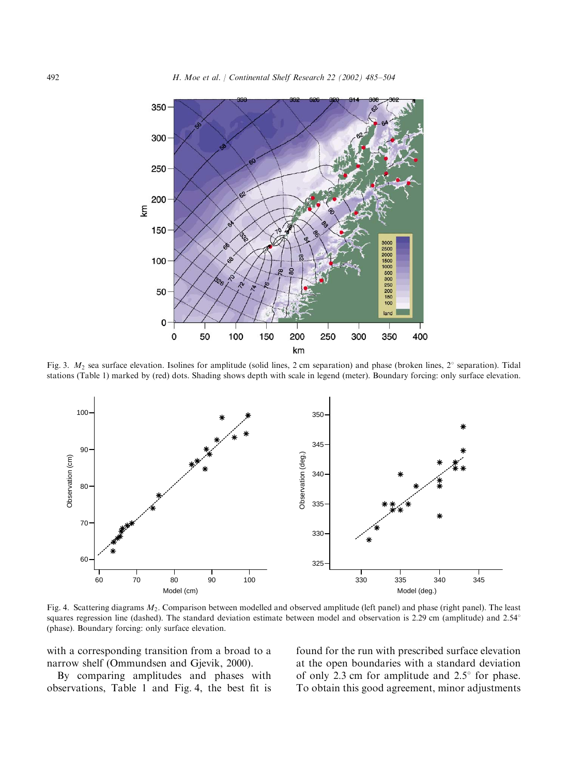

Fig. 3.  $M_2$  sea surface elevation. Isolines for amplitude (solid lines, 2 cm separation) and phase (broken lines, 2° separation). Tidal stations (Table 1) marked by (red) dots. Shading shows depth with scale in legend (meter). Boundary forcing: only surface elevation.



Fig. 4. Scattering diagrams  $M_2$ . Comparison between modelled and observed amplitude (left panel) and phase (right panel). The least squares regression line (dashed). The standard deviation estimate between model and observation is 2.29 cm (amplitude) and 2.54<sup>°</sup> (phase). Boundary forcing: only surface elevation.

with a corresponding transition from a broad to a narrow shelf (Ommundsen and Gjevik,2000).

By comparing amplitudes and phases with observations, Table 1 and Fig. 4, the best fit is found for the run with prescribed surface elevation at the open boundaries with a standard deviation of only 2.3 cm for amplitude and  $2.5^{\circ}$  for phase. To obtain this good agreement, minor adjustments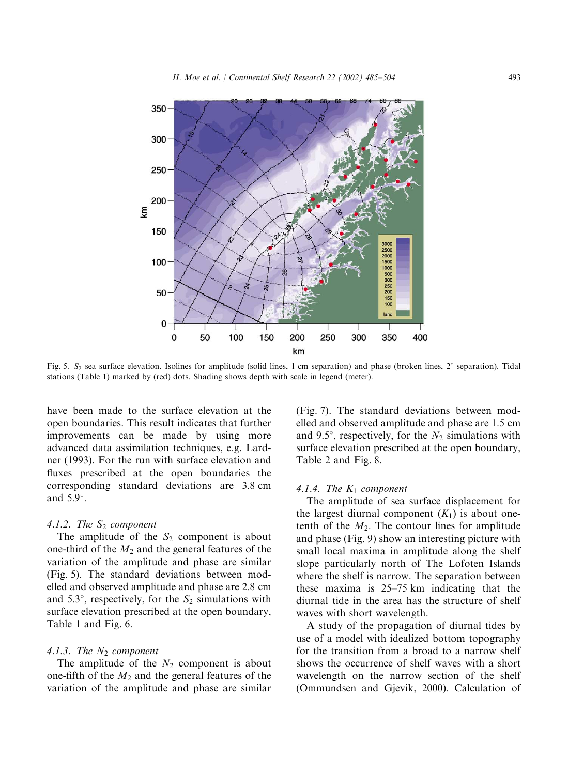

Fig. 5.  $S_2$  sea surface elevation. Isolines for amplitude (solid lines, 1 cm separation) and phase (broken lines,  $2^\circ$  separation). Tidal stations (Table 1) marked by (red) dots. Shading shows depth with scale in legend (meter).

have been made to the surface elevation at the open boundaries. This result indicates that further improvements can be made by using more advanced data assimilation techniques, e.g. Lardner (1993). For the run with surface elevation and fluxes prescribed at the open boundaries the corresponding standard deviations are 3:8 cm and  $5.9^\circ$ .

## 4.1.2. The  $S_2$  component

The amplitude of the  $S_2$  component is about one-third of the  $M_2$  and the general features of the variation of the amplitude and phase are similar (Fig. 5). The standard deviations between modelled and observed amplitude and phase are 2:8 cm and 5.3°, respectively, for the  $S_2$  simulations with surface elevation prescribed at the open boundary, Table 1 and Fig. 6.

#### 4.1.3. The  $N_2$  component

The amplitude of the  $N_2$  component is about one-fifth of the  $M_2$  and the general features of the variation of the amplitude and phase are similar

(Fig. 7). The standard deviations between modelled and observed amplitude and phase are 1:5 cm and 9.5°, respectively, for the  $N_2$  simulations with surface elevation prescribed at the open boundary, Table 2 and Fig. 8.

#### 4.1.4. The  $K_1$  component

The amplitude of sea surface displacement for the largest diurnal component  $(K_1)$  is about onetenth of the  $M_2$ . The contour lines for amplitude and phase (Fig. 9) show an interesting picture with small local maxima in amplitude along the shelf slope particularly north of The Lofoten Islands where the shelf is narrow. The separation between these maxima is 25–75 km indicating that the diurnal tide in the area has the structure of shelf waves with short wavelength.

A study of the propagation of diurnal tides by use of a model with idealized bottom topography for the transition from a broad to a narrow shelf shows the occurrence of shelf waves with a short wavelength on the narrow section of the shelf (Ommundsen and Gjevik,2000). Calculation of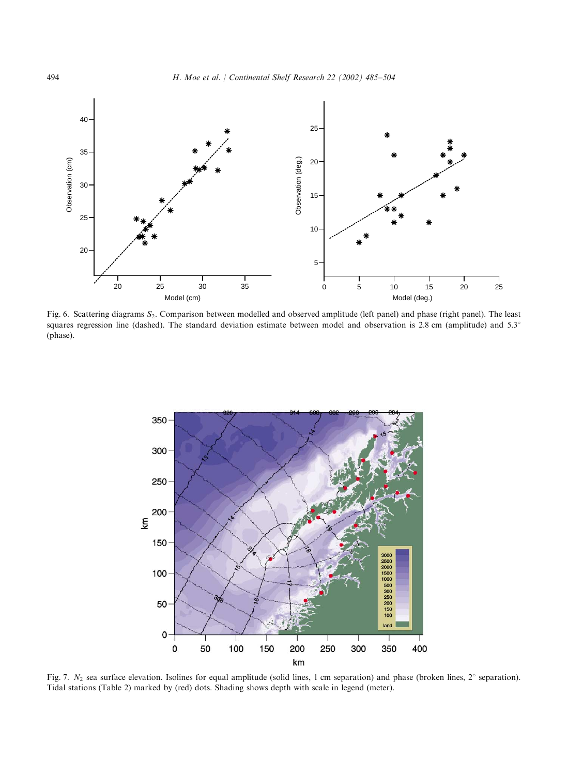

Fig. 6. Scattering diagrams S<sub>2</sub>. Comparison between modelled and observed amplitude (left panel) and phase (right panel). The least squares regression line (dashed). The standard deviation estimate between model and observation is 2.8 cm (amplitude) and  $5.3^\circ$ (phase).



Fig. 7.  $N_2$  sea surface elevation. Isolines for equal amplitude (solid lines, 1 cm separation) and phase (broken lines, 2° separation). Tidal stations (Table 2) marked by (red) dots. Shading shows depth with scale in legend (meter).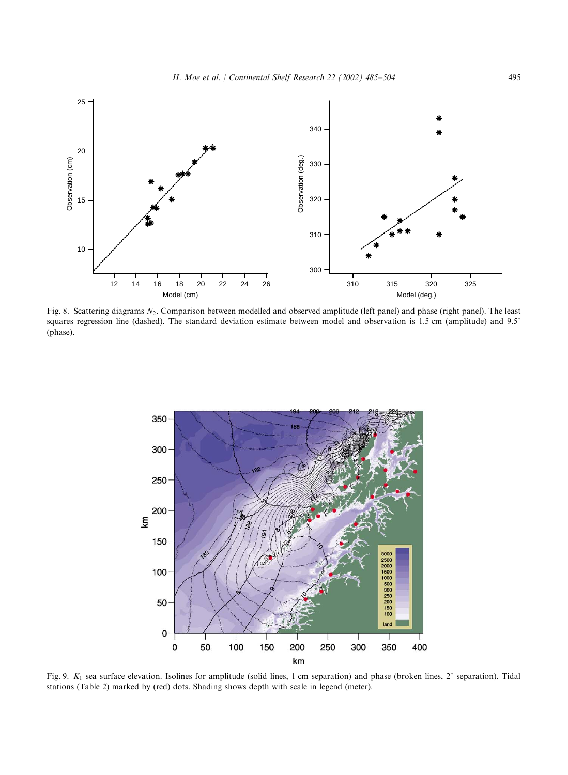

Fig. 8. Scattering diagrams N<sub>2</sub>. Comparison between modelled and observed amplitude (left panel) and phase (right panel). The least squares regression line (dashed). The standard deviation estimate between model and observation is 1.5 cm (amplitude) and  $9.5^\circ$ (phase).



Fig. 9.  $K_1$  sea surface elevation. Isolines for amplitude (solid lines, 1 cm separation) and phase (broken lines, 2° separation). Tidal stations (Table 2) marked by (red) dots. Shading shows depth with scale in legend (meter).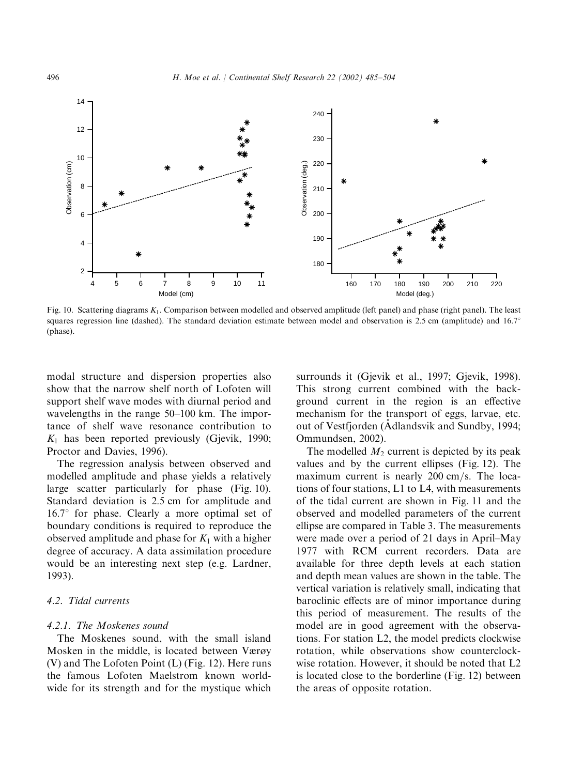

Fig. 10. Scattering diagrams  $K_1$ . Comparison between modelled and observed amplitude (left panel) and phase (right panel). The least squares regression line (dashed). The standard deviation estimate between model and observation is 2.5 cm (amplitude) and  $16.7^\circ$ (phase).

modal structure and dispersion properties also show that the narrow shelf north of Lofoten will support shelf wave modes with diurnal period and wavelengths in the range 50–100 km: The importance of shelf wave resonance contribution to  $K_1$  has been reported previously (Gjevik, 1990; Proctor and Davies, 1996).

The regression analysis between observed and modelled amplitude and phase yields a relatively large scatter particularly for phase (Fig. 10). Standard deviation is 2:5 cm for amplitude and  $16.7^\circ$  for phase. Clearly a more optimal set of boundary conditions is required to reproduce the observed amplitude and phase for  $K_1$  with a higher degree of accuracy. A data assimilation procedure would be an interesting next step (e.g. Lardner, 1993).

# 4.2. Tidal currents

#### 4.2.1. The Moskenes sound

The Moskenes sound, with the small island Mosken in the middle, is located between Værøy (V) and The Lofoten Point (L) (Fig. 12). Here runs the famous Lofoten Maelstrom known worldwide for its strength and for the mystique which surrounds it (Gjevik et al., 1997; Gjevik, 1998). This strong current combined with the background current in the region is an effective mechanism for the transport of eggs, larvae, etc. out of Vestfjorden (Adlandsvik and Sundby,1994; ( Ommundsen, 2002).

The modelled  $M_2$  current is depicted by its peak values and by the current ellipses (Fig. 12). The maximum current is nearly  $200 \text{ cm/s}$ . The locations of four stations, L1 to L4, with measurements of the tidal current are shown in Fig. 11 and the observed and modelled parameters of the current ellipse are compared in Table 3. The measurements were made over a period of 21 days in April–May 1977 with RCM current recorders. Data are available for three depth levels at each station and depth mean values are shown in the table. The vertical variation is relatively small, indicating that baroclinic effects are of minor importance during this period of measurement. The results of the model are in good agreement with the observations. For station L2, the model predicts clockwise rotation, while observations show counterclockwise rotation. However, it should be noted that L2 is located close to the borderline (Fig. 12) between the areas of opposite rotation.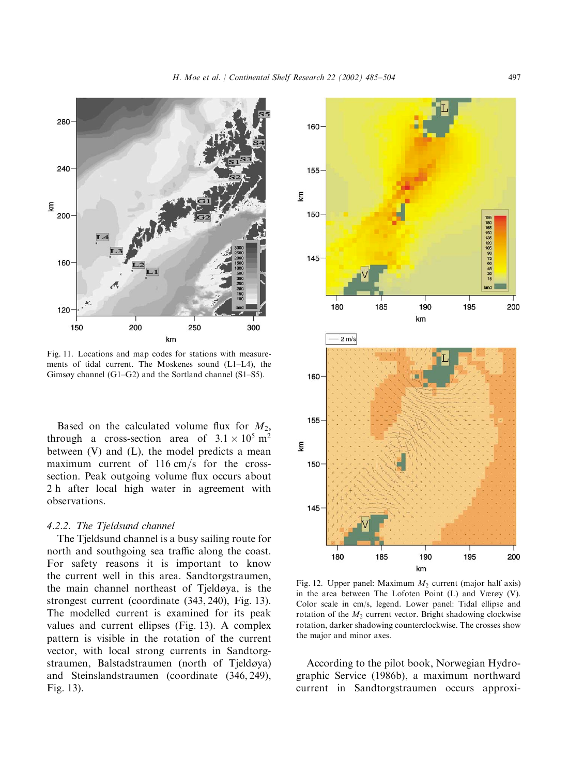

Fig. 11. Locations and map codes for stations with measurements of tidal current. The Moskenes sound  $(L1-L4)$ , the Gimsøy channel (G1–G2) and the Sortland channel (S1–S5).

Based on the calculated volume flux for  $M_2$ , through a cross-section area of  $3.1 \times 10^5$  m<sup>2</sup> between  $(V)$  and  $(L)$ , the model predicts a mean maximum current of  $116 \text{ cm/s}$  for the crosssection. Peak outgoing volume flux occurs about 2 h after local high water in agreement with observations.

## 4.2.2. The Tjeldsund channel

The Tjeldsund channel is a busy sailing route for north and southgoing sea traffic along the coast. For safety reasons it is important to know the current well in this area. Sandtorgstraumen, the main channel northeast of Tjeldøya, is the strongest current (coordinate (343,240), Fig. 13). The modelled current is examined for its peak values and current ellipses (Fig. 13). A complex pattern is visible in the rotation of the current vector, with local strong currents in Sandtorgstraumen, Balstadstraumen (north of Tjeldøya) and Steinslandstraumen (coordinate (346,249), Fig. 13).



Fig. 12. Upper panel: Maximum  $M_2$  current (major half axis) in the area between The Lofoten Point  $(L)$  and Værøy  $(V)$ . Color scale in cm/s, legend. Lower panel: Tidal ellipse and rotation of the  $M_2$  current vector. Bright shadowing clockwise rotation, darker shadowing counterclockwise. The crosses show the major and minor axes.

According to the pilot book, Norwegian Hydrographic Service (1986b), a maximum northward current in Sandtorgstraumen occurs approxi-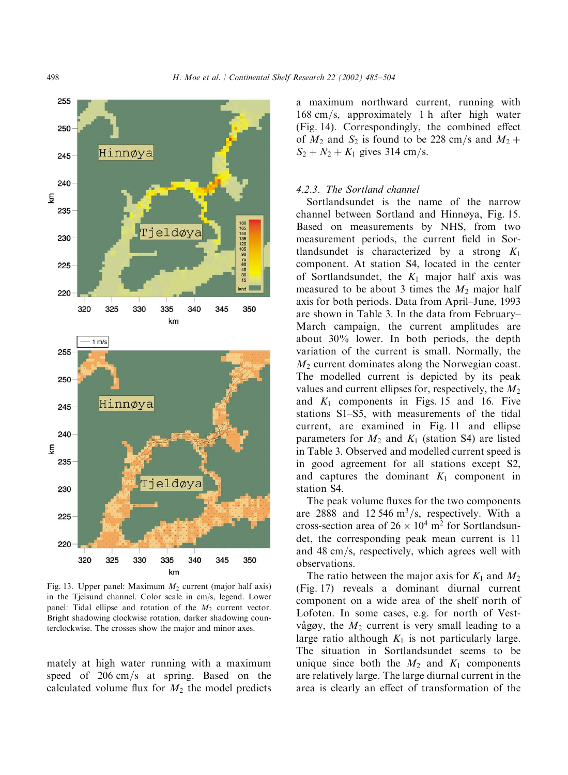

a maximum northward current, running with  $168 \text{ cm/s}$ , approximately 1 h after high water (Fig. 14). Correspondingly, the combined effect of  $M_2$  and  $S_2$  is found to be 228 cm/s and  $M_2$  +  $S_2 + N_2 + K_1$  gives 314 cm/s.

## 4.2.3. The Sortland channel

Sortlandsundet is the name of the narrow channel between Sortland and Hinnøya, Fig. 15. Based on measurements by NHS, from two measurement periods, the current field in Sortlandsundet is characterized by a strong  $K_1$ component. At station S4, located in the center of Sortlandsundet, the  $K_1$  major half axis was measured to be about 3 times the  $M_2$  major half axis for both periods. Data from April–June,1993 are shown in Table 3. In the data from February– March campaign, the current amplitudes are about  $30\%$  lower. In both periods, the depth variation of the current is small. Normally, the  $M<sub>2</sub>$  current dominates along the Norwegian coast. The modelled current is depicted by its peak values and current ellipses for, respectively, the  $M_2$ and  $K_1$  components in Figs. 15 and 16. Five stations S1–S5, with measurements of the tidal current, are examined in Fig. 11 and ellipse parameters for  $M_2$  and  $K_1$  (station S4) are listed in Table 3. Observed and modelled current speed is in good agreement for all stations except S2, and captures the dominant  $K_1$  component in station S4.

The peak volume fluxes for the two components are 2888 and 12 546 m<sup>3</sup>/s, respectively. With a cross-section area of  $26 \times 10^4$  m<sup>2</sup> for Sortlandsundet, the corresponding peak mean current is 11 and 48 cm/s, respectively, which agrees well with observations.

The ratio between the major axis for  $K_1$  and  $M_2$ (Fig. 17) reveals a dominant diurnal current component on a wide area of the shelf north of Lofoten. In some cases, e.g. for north of Vestvågøy, the  $M_2$  current is very small leading to a large ratio although  $K_1$  is not particularly large. The situation in Sortlandsundet seems to be unique since both the  $M_2$  and  $K_1$  components are relatively large. The large diurnal current in the area is clearly an effect of transformation of the

Fig. 13. Upper panel: Maximum  $M_2$  current (major half axis) in the Tjelsund channel. Color scale in cm/s, legend. Lower panel: Tidal ellipse and rotation of the  $M_2$  current vector. Bright shadowing clockwise rotation, darker shadowing counterclockwise. The crosses show the major and minor axes.

335

km

340

350

345

mately at high water running with a maximum speed of  $206 \text{ cm/s}$  at spring. Based on the calculated volume flux for  $M_2$  the model predicts

220

320

325

330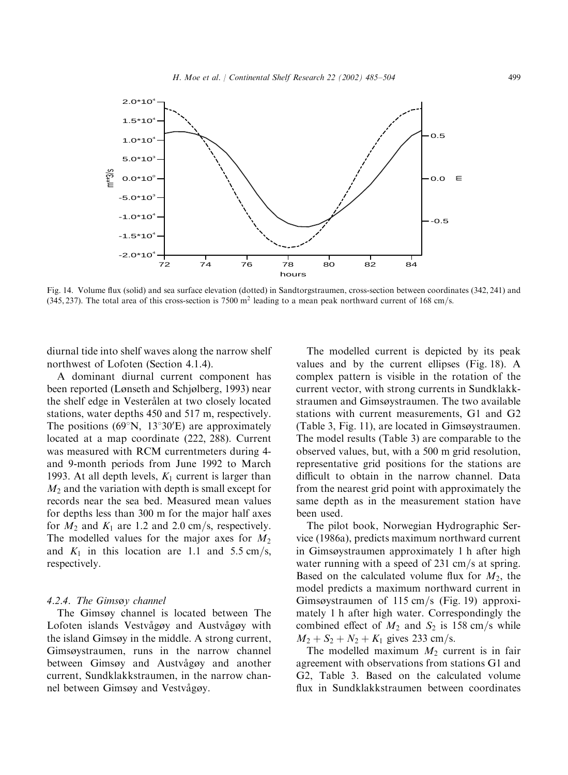

Fig. 14. Volume flux (solid) and sea surface elevation (dotted) in Sandtorgstraumen, cross-section between coordinates (342, 241) and (345, 237). The total area of this cross-section is 7500 m<sup>2</sup> leading to a mean peak northward current of 168 cm/s.

diurnal tide into shelf waves along the narrow shelf northwest of Lofoten (Section 4.1.4).

A dominant diurnal current component has been reported (Lønseth and Schjølberg, 1993) near the shelf edge in Vesterålen at two closely located stations, water depths 450 and 517 m, respectively. The positions (69 $\rm\degree N$ , 13 $\rm\degree 30'E$ ) are approximately located at a map coordinate (222, 288). Current was measured with RCM currentmeters during 4 and 9-month periods from June 1992 to March 1993. At all depth levels,  $K_1$  current is larger than  $M_2$  and the variation with depth is small except for records near the sea bed. Measured mean values for depths less than 300 m for the major half axes for  $M_2$  and  $K_1$  are 1.2 and 2.0 cm/s, respectively. The modelled values for the major axes for  $M_2$ and  $K_1$  in this location are 1.1 and 5.5 cm/s, respectively.

### 4.2.4. The Gimsøy channel

The Gimsøy channel is located between The Lofoten islands Vestvågøy and Austvågøy with the island Gimsøy in the middle. A strong current, Gimsøystraumen, runs in the narrow channel between Gimsøy and Austyågøy and another current, Sundklakkstraumen, in the narrow channel between Gimsøy and Vestvågøy.

The modelled current is depicted by its peak values and by the current ellipses (Fig. 18). A complex pattern is visible in the rotation of the current vector, with strong currents in Sundklakkstraumen and Gimsystraumen. The two available stations with current measurements, G1 and G2 (Table 3, Fig. 11), are located in Gimsøystraumen. The model results (Table 3) are comparable to the observed values, but, with a 500 m grid resolution, representative grid positions for the stations are difficult to obtain in the narrow channel. Data from the nearest grid point with approximately the same depth as in the measurement station have been used.

The pilot book, Norwegian Hydrographic Service (1986a), predicts maximum northward current in Gimsystraumen approximately 1 h after high water running with a speed of  $231 \text{ cm/s}$  at spring. Based on the calculated volume flux for  $M_2$ , the model predicts a maximum northward current in Gimsøystraumen of 115 cm/s (Fig. 19) approximately 1 h after high water. Correspondingly the combined effect of  $M_2$  and  $S_2$  is 158 cm/s while  $M_2 + S_2 + N_2 + K_1$  gives 233 cm/s.

The modelled maximum  $M_2$  current is in fair agreement with observations from stations G1 and G2,Table 3. Based on the calculated volume flux in Sundklakkstraumen between coordinates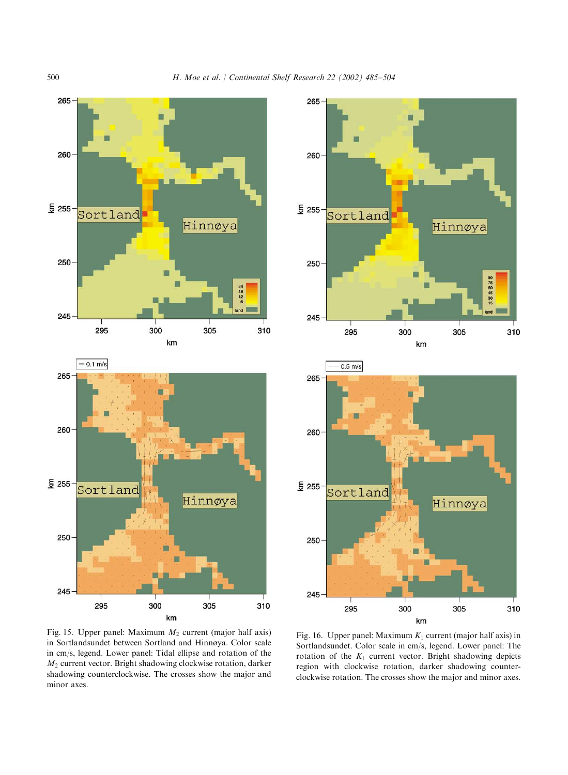



265 260 £ 255 Sortland Hinnøya 250 90 75 60 45 30 15 245 295 300 305 310 km



Fig. 15. Upper panel: Maximum  $M_2$  current (major half axis) in Sortlandsundet between Sortland and Hinnya. Color scale in cm/s, legend. Lower panel: Tidal ellipse and rotation of the  $M<sub>2</sub>$  current vector. Bright shadowing clockwise rotation, darker shadowing counterclockwise. The crosses show the major and minor axes.

Fig. 16. Upper panel: Maximum  $K_1$  current (major half axis) in Sortlandsundet. Color scale in cm/s, legend. Lower panel: The rotation of the  $K_1$  current vector. Bright shadowing depicts region with clockwise rotation, darker shadowing counterclockwise rotation. The crosses show the major and minor axes.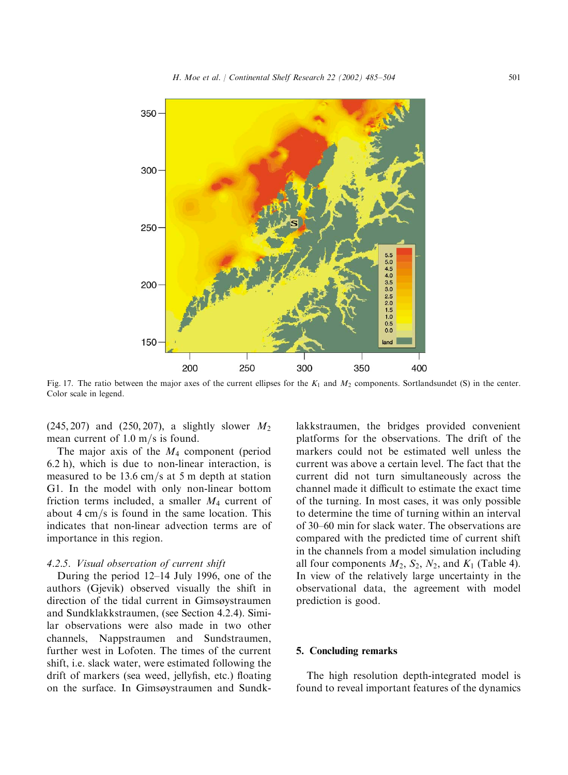

Fig. 17. The ratio between the major axes of the current ellipses for the  $K_1$  and  $M_2$  components. Sortlandsundet (S) in the center. Color scale in legend.

 $(245, 207)$  and  $(250, 207)$ , a slightly slower  $M_2$ mean current of  $1.0 \text{ m/s}$  is found.

The major axis of the  $M_4$  component (period  $6.2$  h), which is due to non-linear interaction, is measured to be  $13.6 \text{ cm/s}$  at 5 m depth at station G1. In the model with only non-linear bottom friction terms included, a smaller  $M_4$  current of about  $4 \text{ cm/s}$  is found in the same location. This indicates that non-linear advection terms are of importance in this region.

## 4.2.5. Visual observation of current shift

During the period  $12-14$  July 1996, one of the authors (Gjevik) observed visually the shift in direction of the tidal current in Gimsøystraumen and Sundklakkstraumen,(see Section 4.2.4). Similar observations were also made in two other channels, Nappstraumen and Sundstraumen, further west in Lofoten. The times of the current shift, i.e. slack water, were estimated following the drift of markers (sea weed, jellyfish, etc.) floating on the surface. In Gimsystraumen and Sundk-

lakkstraumen, the bridges provided convenient platforms for the observations. The drift of the markers could not be estimated well unless the current was above a certain level. The fact that the current did not turn simultaneously across the channel made it difficult to estimate the exact time of the turning. In most cases,it was only possible to determine the time of turning within an interval of 30–60 min for slack water. The observations are compared with the predicted time of current shift in the channels from a model simulation including all four components  $M_2$ ,  $S_2$ ,  $N_2$ , and  $K_1$  (Table 4). In view of the relatively large uncertainty in the observational data, the agreement with model prediction is good.

# 5. Concluding remarks

The high resolution depth-integrated model is found to reveal important features of the dynamics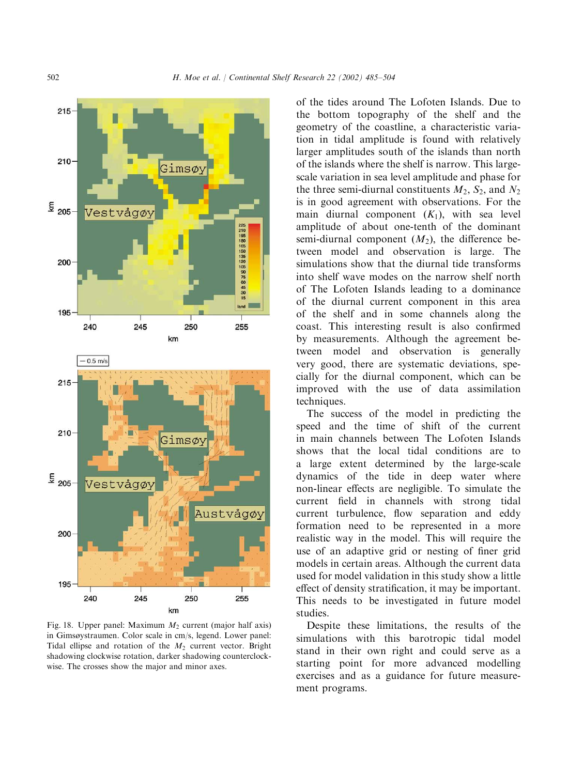

Fig. 18. Upper panel: Maximum  $M_2$  current (major half axis) in Gimsøystraumen. Color scale in cm/s, legend. Lower panel: Tidal ellipse and rotation of the  $M_2$  current vector. Bright shadowing clockwise rotation, darker shadowing counterclockwise. The crosses show the major and minor axes.

of the tides around The Lofoten Islands. Due to the bottom topography of the shelf and the geometry of the coastline, a characteristic variation in tidal amplitude is found with relatively larger amplitudes south of the islands than north of the islands where the shelf is narrow. This largescale variation in sea level amplitude and phase for the three semi-diurnal constituents  $M_2$ ,  $S_2$ , and  $N_2$ is in good agreement with observations. For the main diurnal component  $(K_1)$ , with sea level amplitude of about one-tenth of the dominant semi-diurnal component  $(M_2)$ , the difference between model and observation is large. The simulations show that the diurnal tide transforms into shelf wave modes on the narrow shelf north of The Lofoten Islands leading to a dominance of the diurnal current component in this area of the shelf and in some channels along the coast. This interesting result is also confirmed by measurements. Although the agreement between model and observation is generally very good, there are systematic deviations, specially for the diurnal component, which can be improved with the use of data assimilation techniques.

The success of the model in predicting the speed and the time of shift of the current in main channels between The Lofoten Islands shows that the local tidal conditions are to a large extent determined by the large-scale dynamics of the tide in deep water where non-linear effects are negligible. To simulate the current field in channels with strong tidal current turbulence, flow separation and eddy formation need to be represented in a more realistic way in the model. This will require the use of an adaptive grid or nesting of finer grid models in certain areas. Although the current data used for model validation in this study show a little effect of density stratification, it may be important. This needs to be investigated in future model studies.

Despite these limitations, the results of the simulations with this barotropic tidal model stand in their own right and could serve as a starting point for more advanced modelling exercises and as a guidance for future measurement programs.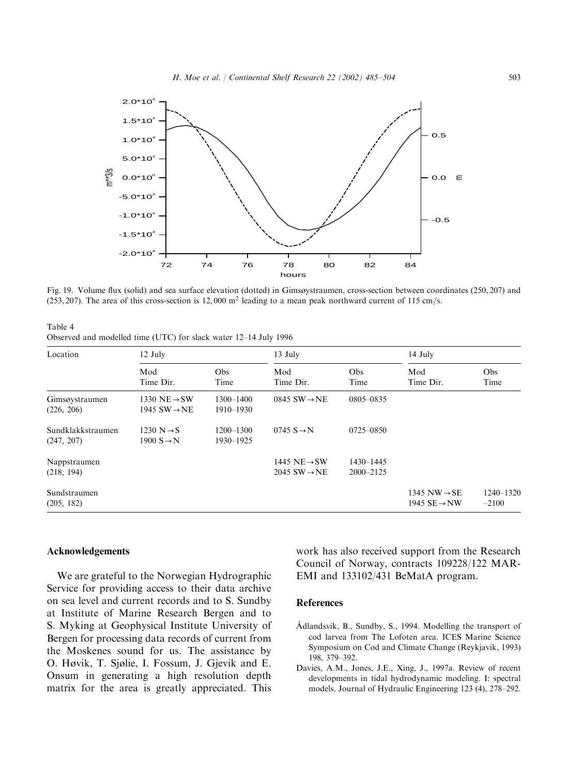

Fig. 19. Volume flux (solid) and sea surface elevation (dotted) in Gimsøystraumen, cross-section between coordinates (250, 207) and (253, 207). The area of this cross-section is 12,000  $m<sup>2</sup>$  leading to a mean peak northward current of 115 cm/s.

Table 4 Observed and modelled time (UTC) for slack water 12–14 July 1996

| Location                        | 12 July                                              |                            | 13 July                                              |                        | $14$ July                                            |                          |  |
|---------------------------------|------------------------------------------------------|----------------------------|------------------------------------------------------|------------------------|------------------------------------------------------|--------------------------|--|
|                                 | Mod<br>Time Dir.                                     | Obs<br>Time                | Mod<br>Time Dir.                                     | Obs<br>Time            | Mod<br>Time Dir.                                     | <b>Obs</b><br>Time       |  |
| Gimsøystraumen<br>(226, 206)    | 1330 NE $\rightarrow$ SW<br>1945 $SW \rightarrow NE$ | $1300 - 1400$<br>1910-1930 | $0845$ SW $\rightarrow$ NE                           | 0805-0835              |                                                      |                          |  |
| Sundklakkstraumen<br>(247, 207) | 1230 $N \rightarrow S$<br>1900 $S \rightarrow N$     | $1200 - 1300$<br>1930-1925 | $0745 S \rightarrow N$                               | 0725-0850              |                                                      |                          |  |
| Nappstraumen<br>(218, 194)      |                                                      |                            | 1445 NE $\rightarrow$ SW<br>2045 $SW \rightarrow NE$ | 1430-1445<br>2000-2125 |                                                      |                          |  |
| Sundstraumen<br>(205, 182)      |                                                      |                            |                                                      |                        | 1345 NW $\rightarrow$ SE<br>1945 $SE \rightarrow NW$ | $1240 - 1320$<br>$-2100$ |  |

## Acknowledgements

We are grateful to the Norwegian Hydrographic Service for providing access to their data archive on sea level and current records and to S. Sundby at Institute of Marine Research Bergen and to S. Myking at Geophysical Institute University of Bergen for processing data records of current from the Moskenes sound for us. The assistance by O. Høvik, T. Sjølie, I. Fossum, J. Gjevik and E. Onsum in generating a high resolution depth matrix for the area is greatly appreciated. This work has also received support from the Research Council of Norway, contracts 109228/122 MAR-EMI and 133102/431 BeMatA program.

#### References

- Adlandsvik, B., Sundby, S., 1994. Modelling the transport of cod larvea from The Lofoten area. ICES Marine Science Symposium on Cod and Climate Change (Reykjavik,1993) 198,379–392.
- Davies, A.M., Jones, J.E., Xing, J., 1997a. Review of recent developments in tidal hydrodynamic modeling. I: spectral models. Journal of Hydraulic Engineering 123 (4), 278–292.